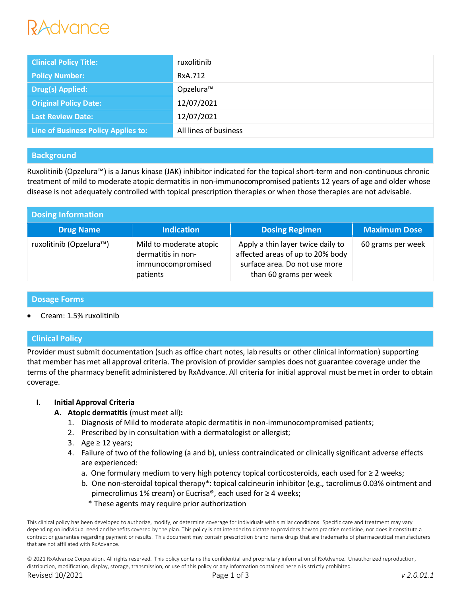# ANNUNCA

| <b>Clinical Policy Title:</b>       | ruxolitinib           |
|-------------------------------------|-----------------------|
| <b>Policy Number:</b>               | RxA.712               |
| Drug(s) Applied:                    | Opzelura™             |
| <b>Original Policy Date:</b>        | 12/07/2021            |
| <b>Last Review Date:</b>            | 12/07/2021            |
| Line of Business Policy Applies to: | All lines of business |

# **Background**

Ruxolitinib (Opzelura™) is a Janus kinase (JAK) inhibitor indicated for the topical short-term and non-continuous chronic treatment of mild to moderate atopic dermatitis in non-immunocompromised patients 12 years of age and older whose disease is not adequately controlled with topical prescription therapies or when those therapies are not advisable.

| <b>Dosing Information</b> |                                                                                |                                                                                                                                  |                     |  |  |
|---------------------------|--------------------------------------------------------------------------------|----------------------------------------------------------------------------------------------------------------------------------|---------------------|--|--|
| <b>Drug Name</b>          | <b>Indication</b>                                                              | <b>Dosing Regimen</b>                                                                                                            | <b>Maximum Dose</b> |  |  |
| ruxolitinib (Opzelura™)   | Mild to moderate atopic<br>dermatitis in non-<br>immunocompromised<br>patients | Apply a thin layer twice daily to<br>affected areas of up to 20% body<br>surface area. Do not use more<br>than 60 grams per week | 60 grams per week   |  |  |

## **Dosage Forms**

Cream: 1.5% ruxolitinib

# **Clinical Policy**

Provider must submit documentation (such as office chart notes, lab results or other clinical information) supporting that member has met all approval criteria. The provision of provider samples does not guarantee coverage under the terms of the pharmacy benefit administered by RxAdvance. All criteria for initial approval must be met in order to obtain coverage.

## **I. Initial Approval Criteria**

- **A. Atopic dermatitis** (must meet all)**:**
	- 1. Diagnosis of Mild to moderate atopic dermatitis in non-immunocompromised patients;
	- 2. Prescribed by in consultation with a dermatologist or allergist;
	- 3. Age ≥ 12 years;
	- 4. Failure of two of the following (a and b), unless contraindicated or clinically significant adverse effects are experienced:
		- a. One formulary medium to very high potency topical corticosteroids, each used for ≥ 2 weeks;
		- b. One non-steroidal topical therapy\*: topical calcineurin inhibitor (e.g., tacrolimus 0.03% ointment and pimecrolimus 1% cream) or Eucrisa®, each used for ≥ 4 weeks;
			- \* These agents may require prior authorization

This clinical policy has been developed to authorize, modify, or determine coverage for individuals with similar conditions. Specific care and treatment may vary depending on individual need and benefits covered by the plan. This policy is not intended to dictate to providers how to practice medicine, nor does it constitute a contract or guarantee regarding payment or results. This document may contain prescription brand name drugs that are trademarks of pharmaceutical manufacturers that are not affiliated with RxAdvance.

© 2021 RxAdvance Corporation. All rights reserved. This policy contains the confidential and proprietary information of RxAdvance. Unauthorized reproduction, distribution, modification, display, storage, transmission, or use of this policy or any information contained herein is strictly prohibited. Revised 10/2021 Page 1 of 3 *v 2.0.01.1*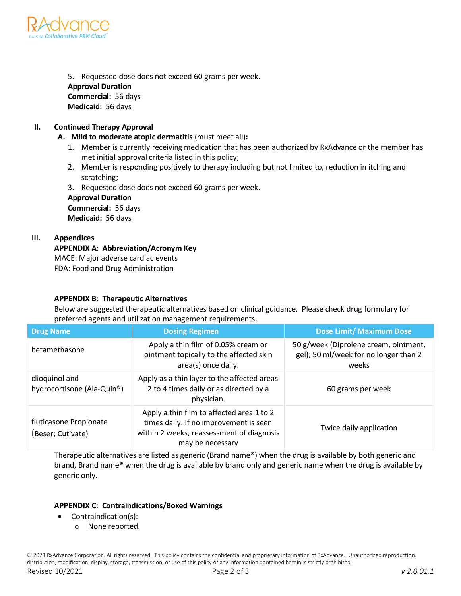

5. Requested dose does not exceed 60 grams per week. **Approval Duration Commercial:** 56 days **Medicaid:** 56 days

## **II. Continued Therapy Approval**

- **A. Mild to moderate atopic dermatitis** (must meet all)**:**
	- 1. Member is currently receiving medication that has been authorized by RxAdvance or the member has met initial approval criteria listed in this policy;
	- 2. Member is responding positively to therapy including but not limited to, reduction in itching and scratching;
	- 3. Requested dose does not exceed 60 grams per week.

**Approval Duration Commercial:** 56 days

**Medicaid:** 56 days

## **III. Appendices**

**APPENDIX A: Abbreviation/Acronym Key** MACE: Major adverse cardiac events FDA: Food and Drug Administration

## **APPENDIX B: Therapeutic Alternatives**

Below are suggested therapeutic alternatives based on clinical guidance. Please check drug formulary for preferred agents and utilization management requirements.

| Drug Name                                    | <b>Dosing Regimen</b>                                                                                                                                | <b>Dose Limit/ Maximum Dose</b>                                                         |
|----------------------------------------------|------------------------------------------------------------------------------------------------------------------------------------------------------|-----------------------------------------------------------------------------------------|
| betamethasone                                | Apply a thin film of 0.05% cream or<br>ointment topically to the affected skin<br>area(s) once daily.                                                | 50 g/week (Diprolene cream, ointment,<br>gel); 50 ml/week for no longer than 2<br>weeks |
| clioquinol and<br>hydrocortisone (Ala-Quin®) | Apply as a thin layer to the affected areas<br>2 to 4 times daily or as directed by a<br>physician.                                                  | 60 grams per week                                                                       |
| fluticasone Propionate<br>(Beser; Cutivate)  | Apply a thin film to affected area 1 to 2<br>times daily. If no improvement is seen<br>within 2 weeks, reassessment of diagnosis<br>may be necessary | Twice daily application                                                                 |

Therapeutic alternatives are listed as generic (Brand name®) when the drug is available by both generic and brand, Brand name® when the drug is available by brand only and generic name when the drug is available by generic only.

## **APPENDIX C: Contraindications/Boxed Warnings**

- Contraindication(s):
	- o None reported.

© 2021 RxAdvance Corporation. All rights reserved. This policy contains the confidential and proprietary information of RxAdvance. Unauthorized reproduction, distribution, modification, display, storage, transmission, or use of this policy or any information contained herein is strictly prohibited. Revised 10/2021 Page 2 of 3 *v 2.0.01.1*